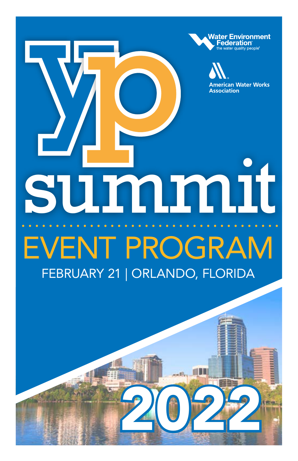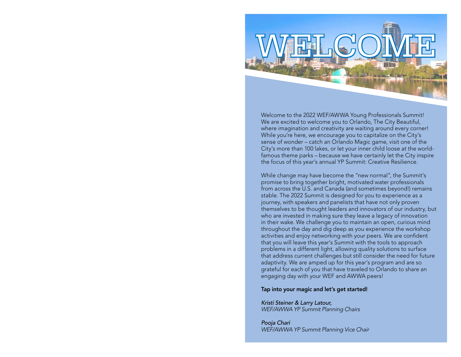

Welcome to the 2022 WEF/AWWA Young Professionals Summit! We are excited to welcome you to Orlando, The City Beautiful, where imagination and creativity are waiting around every corner! While you're here, we encourage you to capitalize on the City's sense of wonder – catch an Orlando Magic game, visit one of the City's more than 100 lakes, or let your inner child loose at the worldfamous theme parks – because we have certainly let the City inspire the focus of this year's annual YP Summit: Creative Resilience.

While change may have become the "new normal", the Summit's promise to bring together bright, motivated water professionals from across the U.S. and Canada (and sometimes beyond!) remains stable. The 2022 Summit is designed for you to experience as a journey, with speakers and panelists that have not only proven themselves to be thought leaders and innovators of our industry, but who are invested in making sure they leave a legacy of innovation in their wake. We challenge you to maintain an open, curious mind throughout the day and dig deep as you experience the workshop activities and enjoy networking with your peers. We are confident that you will leave this year's Summit with the tools to approach problems in a different light, allowing quality solutions to surface that address current challenges but still consider the need for future adaptivity. We are amped up for this year's program and are so grateful for each of you that have traveled to Orlando to share an engaging day with your WEF and AWWA peers!

#### Tap into your magic and let's get started!

Kristi Steiner & Larry Latour, WEF/AWWA YP Summit Planning Chairs

Pooja Chari WEF/AWWA YP Summit Planning Vice Chair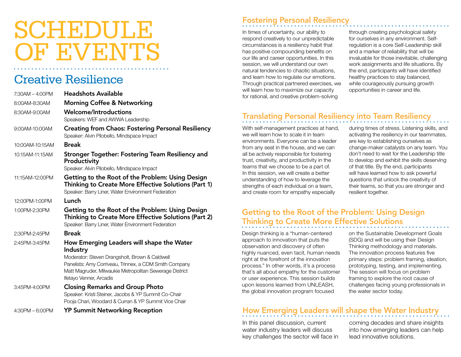# SCHEDULE OF EVENTS

# Creative Resilience

| $7:30AM - 4:00PM$ | <b>Headshots Available</b>                                                                                                                                                                                                                              |
|-------------------|---------------------------------------------------------------------------------------------------------------------------------------------------------------------------------------------------------------------------------------------------------|
| 8:00AM-8:30AM     | <b>Morning Coffee &amp; Networking</b>                                                                                                                                                                                                                  |
| 8:30AM-9:00AM     | <b>Welcome/Introductions</b><br>Speakers: WEF and AWWA Leadership                                                                                                                                                                                       |
| 9:00AM-10:00AM    | <b>Creating from Chaos: Fostering Personal Resiliency</b><br>Speaker: Alvin Pilobello, Mindspace Impact                                                                                                                                                 |
| 10:00AM-10:15AM   | <b>Break</b>                                                                                                                                                                                                                                            |
| 10:15AM-11:15AM   | Stronger Together: Fostering Team Resiliency and<br>Productivity<br>Speaker: Alvin Pilobello, Mindspace Impact                                                                                                                                          |
| 11:15AM-12:00PM   | Getting to the Root of the Problem: Using Design<br>Thinking to Create More Effective Solutions (Part 1)<br>Speaker: Barry Liner, Water Environment Federation                                                                                          |
| 12:00PM-1:00PM    | Lunch                                                                                                                                                                                                                                                   |
| 1:00PM-2:30PM     | Getting to the Root of the Problem: Using Design<br>Thinking to Create More Effective Solutions (Part 2)<br>Speaker: Barry Liner, Water Environment Federation                                                                                          |
| 2:30PM-2:45PM     | <b>Break</b>                                                                                                                                                                                                                                            |
| 2:45PM-3:45PM     | How Emerging Leaders will shape the Water<br>Industry<br>Moderator: Steven Drangsholt, Brown & Caldwell<br>Panelists: Amy Corriveau, Trinnex, a CDM Smith Company<br>Matt Magruder, Milwaukie Metropolitan Sewerage District<br>Ifetayo Venner, Arcadis |
| 3:45PM-4:00PM     | <b>Closing Remarks and Group Photo</b><br>Speaker: Kristi Steiner, Jacobs & YP Summit Co-Chair<br>Pooja Chari, Woodard & Curran & YP Summit Vice Chair                                                                                                  |
| $4:30PM - 6:00PM$ | <b>YP Summit Networking Reception</b>                                                                                                                                                                                                                   |

### Fostering Personal Resiliency

In times of uncertainty, our ability to respond creatively to our unpredictable circumstances is a resiliency habit that has positive compounding benefits on our life and career opportunities. In this session, we will understand our own natural tendencies to chaotic situations, and learn how to regulate our emotions. Through practical partnered exercises, we will learn how to maximize our capacity for rational, and creative problem-solving

through creating psychological safety for ourselves in any environment. Selfregulation is a core Self-Leadership skill and a marker of reliability that will be invaluable for those inevitable, challenging work assignments and life situations. By the end, participants will have identified healthy practices to stay balanced, while courageously pursuing growth opportunities in career and life.

# Translating Personal Resiliency into Team Resiliency

With self-management practices at hand, we will learn how to scale it in team environments. Everyone can be a leader from any seat in the house, and we can all be actively responsible for fostering trust, creativity, and productivity in the teams that we choose to be a part of. In this session, we will create a better understanding of how to leverage the strengths of each individual on a team, and create room for empathy especially

during times of stress. Listening skills, and activating the resiliency in our teammates, are key to establishing ourselves as change-maker catalysts on any team. You don't need to wait for the Leadership title to develop and exhibit the skills deserving of that title. By the end, participants will have learned how to ask powerful questions that unlock the creativity of their teams, so that you are stronger and resilient together.

### Getting to the Root of the Problem: Using Design Thinking to Create More Effective Solutions

Design thinking is a "human-centered approach to innovation that puts the observation and discovery of often highly nuanced, even tacit, human needs right at the forefront of the innovation process." In other words, it's a process that's all about empathy for the customer or user experience. This session builds upon lessons learned from UNLEASH, the global innovation program focused

on the Sustainable Development Goals (SDG) and will be using their Design Thinking methodology and materials. The innovation process features five primary steps: problem framing, ideation, prototyping, testing, and implementing. The session will focus on problem framing to explore the root cause of challenges facing young professionals in the water sector today.

# How Emerging Leaders will shape the Water Industry

In this panel discussion, current water industry leaders will discuss key challenges the sector will face in coming decades and share insights into how emerging leaders can help lead innovative solutions.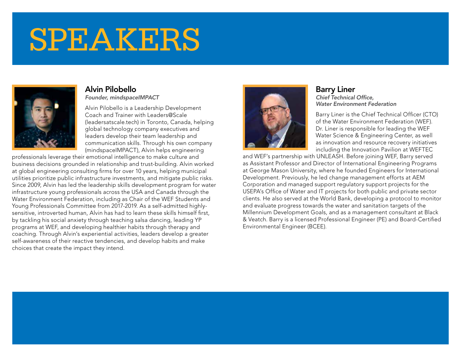# SPEAKERS



#### Alvin Pilobello Founder, mindspaceIMPACT

Alvin Pilobello is a Leadership Development Coach and Trainer with Leaders@Scale (leadersatscale.tech) in Toronto, Canada, helping global technology company executives and leaders develop their team leadership and communication skills. Through his own company (mindspaceIMPACT), Alvin helps engineering

professionals leverage their emotional intelligence to make culture and business decisions grounded in relationship and trust-building. Alvin worked at global engineering consulting firms for over 10 years, helping municipal utilities prioritize public infrastructure investments, and mitigate public risks. Since 2009, Alvin has led the leadership skills development program for water infrastructure young professionals across the USA and Canada through the Water Environment Federation, including as Chair of the WEF Students and Young Professionals Committee from 2017-2019. As a self-admitted highlysensitive, introverted human, Alvin has had to learn these skills himself first, by tackling his social anxiety through teaching salsa dancing, leading YP programs at WEF, and developing healthier habits through therapy and coaching. Through Alvin's experiential activities, leaders develop a greater self-awareness of their reactive tendencies, and develop habits and make choices that create the impact they intend.



#### Barry Liner Chief Technical Office, Water Environment Federation

Barry Liner is the Chief Technical Officer (CTO) of the Water Environment Federation (WEF). Dr. Liner is responsible for leading the WEF Water Science & Engineering Center, as well as innovation and resource recovery initiatives including the Innovation Pavilion at WEFTEC

and WEF's partnership with UNLEASH. Before joining WEF, Barry served as Assistant Professor and Director of International Engineering Programs at George Mason University, where he founded Engineers for International Development. Previously, he led change management efforts at AEM Corporation and managed support regulatory support projects for the USEPA's Office of Water and IT projects for both public and private sector clients. He also served at the World Bank, developing a protocol to monitor and evaluate progress towards the water and sanitation targets of the Millennium Development Goals, and as a management consultant at Black & Veatch. Barry is a licensed Professional Engineer (PE) and Board-Certified Environmental Engineer (BCEE).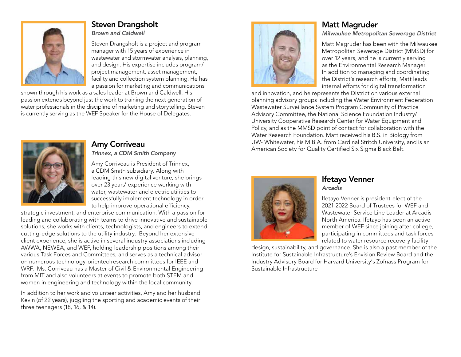

# Steven Drangsholt

Brown and Caldwell

Steven Drangsholt is a project and program manager with 15 years of experience in wastewater and stormwater analysis, planning, and design. His expertise includes program/ project management, asset management, facility and collection system planning. He has a passion for marketing and communications

shown through his work as a sales leader at Brown and Caldwell. His passion extends beyond just the work to training the next generation of water professionals in the discipline of marketing and storytelling. Steven is currently serving as the WEF Speaker for the House of Delegates.



#### Amy Corriveau

Trinnex, a CDM Smith Company

Amy Corriveau is President of Trinnex, a CDM Smith subsidiary. Along with leading this new digital venture, she brings over 23 years' experience working with water, wastewater and electric utilities to successfully implement technology in order to help improve operational efficiency,

strategic investment, and enterprise communication. With a passion for leading and collaborating with teams to drive innovative and sustainable solutions, she works with clients, technologists, and engineers to extend cutting-edge solutions to the utility industry. Beyond her extensive client experience, she is active in several industry associations including AWWA, NEWEA, and WEF, holding leadership positions among their various Task Forces and Committees, and serves as a technical advisor on numerous technology-oriented research committees for IEEE and WRF. Ms. Corriveau has a Master of Civil & Environmental Engineering from MIT and also volunteers at events to promote both STEM and women in engineering and technology within the local community.

In addition to her work and volunteer activities, Amy and her husband Kevin (of 22 years), juggling the sporting and academic events of their three teenagers (18, 16, & 14).



# Matt Magruder

Milwaukee Metropolitan Sewerage District

Matt Magruder has been with the Milwaukee Metropolitan Sewerage District (MMSD) for over 12 years, and he is currently serving as the Environmental Research Manager. In addition to managing and coordinating the District's research efforts, Matt leads internal efforts for digital transformation

and innovation, and he represents the District on various external planning advisory groups including the Water Environment Federation Wastewater Surveillance System Program Community of Practice Advisory Committee, the National Science Foundation Industry/ University Cooperative Research Center for Water Equipment and Policy, and as the MMSD point of contact for collaboration with the Water Research Foundation. Matt received his B.S. in Biology from UW- Whitewater, his M.B.A. from Cardinal Stritch University, and is an American Society for Quality Certified Six Sigma Black Belt.



#### Ifetayo Venner Arcadis

Ifetayo Venner is president-elect of the 2021-2022 Board of Trustees for WEF and Wastewater Service Line Leader at Arcadis North America. Ifetayo has been an active member of WEF since joining after college, participating in committees and task forces related to water resource recovery facility

design, sustainability, and governance. She is also a past member of the Institute for Sustainable Infrastructure's Envision Review Board and the Industry Advisory Board for Harvard University's Zofnass Program for Sustainable Infrastructure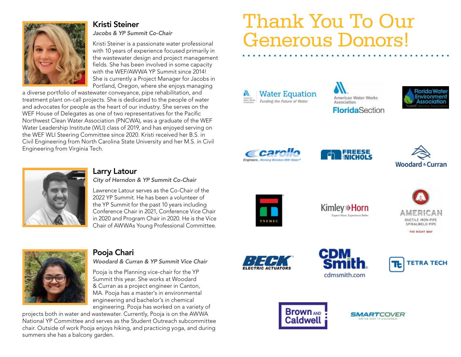

#### Kristi Steiner

Jacobs & YP Summit Co-Chair

Kristi Steiner is a passionate water professional with 10 years of experience focused primarily in the wastewater design and project management fields. She has been involved in some capacity with the WEF/AWWA YP Summit since 2014! She is currently a Project Manager for Jacobs in Portland, Oregon, where she enjoys managing

a diverse portfolio of wastewater conveyance, pipe rehabilitation, and treatment plant on-call projects. She is dedicated to the people of water and advocates for people as the heart of our industry. She serves on the WEF House of Delegates as one of two representatives for the Pacific Northwest Clean Water Association (PNCWA), was a graduate of the WEF Water Leadership Institute (WLI) class of 2019, and has enjoyed serving on the WEF WLI Steering Committee since 2020. Kristi received her B.S. in Civil Engineering from North Carolina State University and her M.S. in Civil Engineering from Virginia Tech.

# Thank You To Our Generous Donors!

**Water Equation** Funding the Future of Water













#### Larry Latour

City of Herndon & YP Summit Co-Chair

Lawrence Latour serves as the Co-Chair of the 2022 YP Summit. He has been a volunteer of the YP Summit for the past 10 years including Conference Chair in 2021, Conference Vice Chair in 2020 and Program Chair in 2020. He is the Vice Chair of AWWAs Young Professional Committee.



**Kimley** >> Horn Expect More. Experience Bette





# Pooja Chari

Woodard & Curran & YP Summit Vice Chair

Pooja is the Planning vice-chair for the YP Summit this year. She works at Woodard & Curran as a project engineer in Canton, MA. Pooja has a master's in environmental engineering and bachelor's in chemical engineering. Pooja has worked on a variety of

projects both in water and wastewater. Currently, Pooja is on the AWWA National YP Committee and serves as the Student Outreach subcommittee chair. Outside of work Pooja enjoys hiking, and practicing yoga, and during summers she has a balcony garden.









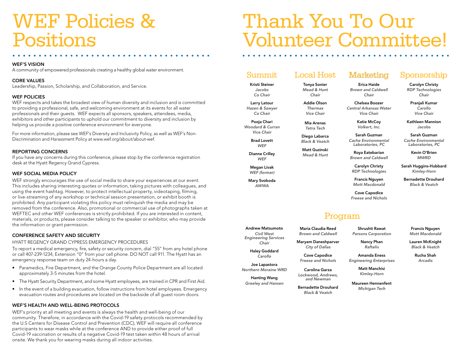# WEF Policies & Positions

#### WEF'S VISION

A community of empowered professionals creating a healthy global water environment.

#### CORE VALUES

Leadership, Passion, Scholarship, and Collaboration, and Service.

#### WEF POLICIES

WEF respects and takes the broadest view of human diversity and inclusion and is committed to providing a professional, safe, and welcoming environment at its events for all water professionals and their guests. WEF expects all sponsors, speakers, attendees, media, exhibitors and other participants to uphold our commitment to diversity and inclusion by helping us provide a positive conference environment for everyone.

For more information, please see WEF's Diversity and Inclusivity Policy, as well as WEF's Non-Discrimination and Harassment Policy at www.wef.org/about/about-wef.

#### REPORTING CONCERNS

If you have any concerns during this conference, please stop by the conference registration desk at the Hyatt Regency Grand Cypress.

#### WEF SOCIAL MEDIA POLICY

WEF strongly encourages the use of social media to share your experiences at our event. This includes sharing interesting quotes or information, taking pictures with colleagues, and using the event hashtag. However, to protect intellectual property, videotaping, filming, or live-streaming of any workshop or technical session presentation, or exhibit booth is prohibited. Any participant violating this policy must relinquish the media and may be removed from the conference. Also, promotional or commercial use of photographs taken at WEFTEC and other WEF conferences is strictly prohibited. If you are interested in content, materials, or products, please consider talking to the speaker or exhibitor, who may provide the information or grant permission.

#### CONFERENCE SAFETY AND SECURITY

HYATT REGENCY GRAND CYPRESS EMERGENCY PROCEDURES

To report a medical emergency, fire, safety or security concern, dial "55" from any hotel phone or call 407-239-1234, Extension "0" from your cell phone. DO NOT call 911. The Hyatt has an emergency response team on duty 24-hours a day.

- Paramedics, Fire Department, and the Orange County Police Department are all located approximately 3-5 minutes from the hotel.
- The Hyatt Security Department, and some Hyatt employees, are trained in CPR and First Aid.
- In the event of a building evacuation, follow instructions from hotel employees. Emergency evacuation routes and procedures are located on the backside of all guest room doors.

#### WEF'S HEALTH AND WELL-BEING PROTOCOLS

WEF's priority at all meeting and events is always the health and well-being of our community. Therefore, in accordance with the Covid-19 safety protocols recommended by the U.S Centers for Disease Control and Prevention (CDC), WEF will require all conference participants to wear masks while at the conference AND to provide either proof of full Covid-19 vaccination or results of a negative Covid-19 test taken within 48 hours of arrival onsite. We thank you for wearing masks during all indoor activities.

# Thank You To Our Volunteer Committee!

# Summit

Kristi Steiner Jacobs Co Chair

Larry Latour Hazen & Sawyer Co Chair

Pooja Chari Woodard & Curran Vice Chair

> Brad Lovett **WFF**

Dianne Crilley **WEF** 

Megan Livak WEF (former)

Mary Svoboda AWWA

### Local Host Tonya Sonier

Mead & Hunt Chair

Thermax Vice Chair

Mia Arenas Tetra Tech

Diego Labarca Black & Veatch

Matt Guzinski Mead & Hunt

> Carolyn Christy RDP Technologies

> > Francis Nguyen Mott Macdonald

Cove Capodice Freese and Nichols

**Marketing** Erica Haide Brown and Caldwell Chair Chelsea Boozer Central Arkansas Water Vice Chair Katie McCoy Volkert, Inc. Sarah Guzman Cache Environmental Laboratories, PC Roya Eatebarian Brown and Caldwell

### Program

Parsons Corporation

Maryam Daneshparvar

Cove Capodice Freese and Nichols

Maureen Hennenfent Michigan Tech

Shrushti Rawat

Lauren McKnight

Rucha Shah Arcadis

Civil West Engineering Services Chair

Haley Goddard Carollo

Joe Lapastora Northern Moraine WRD

> Hanting Wang Greeley and Hansen

Bernadette Drouhard Black & Veatch

City of Dallas

Carolina Garza Lockwood, Andrews, and Newman

Francis Nguyen Mott Macdonald

Raftelis

Amanda Eness Engineering Enterprises

> Matt Manchisi Kimley-Horn

Nancy Phan

Black & Veatch

Sponsorship Carolyn Christy RDP Technologies Chair Pranjali Kumar Carollo Vice Chair Kathleen Mannion Jacobs Sarah Guzman Cache Environmental Laboratories, PC Kevin O'Brien MWRD Sarah Huggins-Hubbard Kimley-Horn Bernadette Drouhard Black & Veatch

Andrew Matsumoto Maria Claudia Reed Brown and Caldwell

Addie Olson